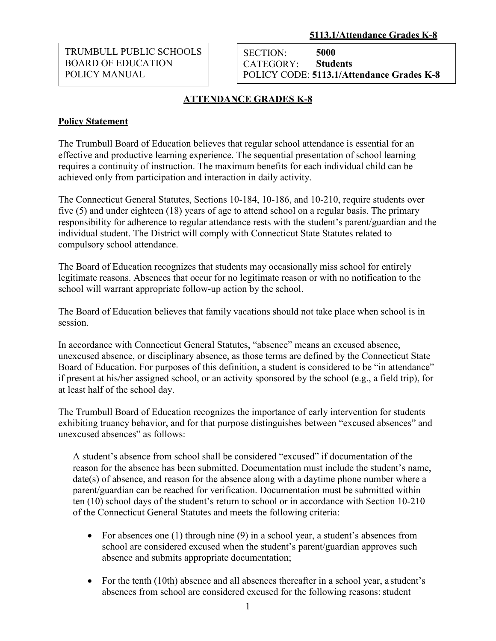TRUMBULL PUBLIC SCHOOLS BOARD OF EDUCATION POLICY MANUAL

SECTION: CATEGORY: **5000 Students** POLICY CODE: **5113.1/Attendance Grades K-8**

## **ATTENDANCE GRADES K-8**

## **Policy Statement**

The Trumbull Board of Education believes that regular school attendance is essential for an effective and productive learning experience. The sequential presentation of school learning requires a continuity of instruction. The maximum benefits for each individual child can be achieved only from participation and interaction in daily activity.

The Connecticut General Statutes, Sections 10-184, 10-186, and 10-210, require students over five (5) and under eighteen (18) years of age to attend school on a regular basis. The primary responsibility for adherence to regular attendance rests with the student's parent/guardian and the individual student. The District will comply with Connecticut State Statutes related to compulsory school attendance.

The Board of Education recognizes that students may occasionally miss school for entirely legitimate reasons. Absences that occur for no legitimate reason or with no notification to the school will warrant appropriate follow-up action by the school.

The Board of Education believes that family vacations should not take place when school is in session.

In accordance with Connecticut General Statutes, "absence" means an excused absence, unexcused absence, or disciplinary absence, as those terms are defined by the Connecticut State Board of Education. For purposes of this definition, a student is considered to be "in attendance" if present at his/her assigned school, or an activity sponsored by the school (e.g., a field trip), for at least half of the school day.

The Trumbull Board of Education recognizes the importance of early intervention for students exhibiting truancy behavior, and for that purpose distinguishes between "excused absences" and unexcused absences" as follows:

A student's absence from school shall be considered "excused" if documentation of the reason for the absence has been submitted. Documentation must include the student's name, date(s) of absence, and reason for the absence along with a daytime phone number where a parent/guardian can be reached for verification. Documentation must be submitted within ten (10) school days of the student's return to school or in accordance with Section 10-210 of the Connecticut General Statutes and meets the following criteria:

- For absences one (1) through nine (9) in a school year, a student's absences from school are considered excused when the student's parent/guardian approves such absence and submits appropriate documentation;
- For the tenth (10th) absence and all absences thereafter in a school year, a student's absences from school are considered excused for the following reasons: student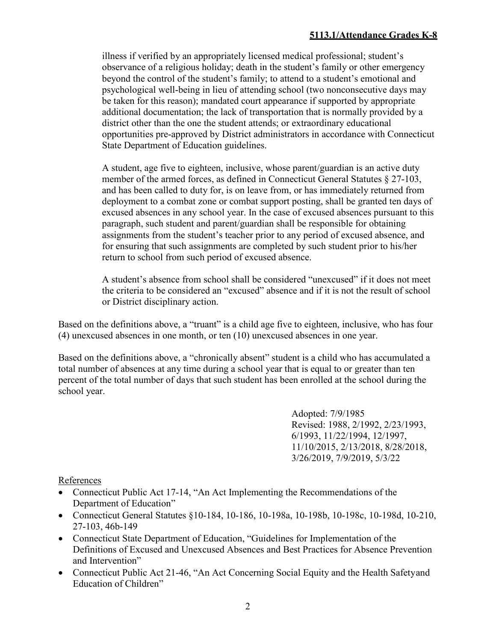illness if verified by an appropriately licensed medical professional; student's observance of a religious holiday; death in the student's family or other emergency beyond the control of the student's family; to attend to a student's emotional and psychological well-being in lieu of attending school (two nonconsecutive days may be taken for this reason); mandated court appearance if supported by appropriate additional documentation; the lack of transportation that is normally provided by a district other than the one the student attends; or extraordinary educational opportunities pre-approved by District administrators in accordance with Connecticut State Department of Education guidelines.

A student, age five to eighteen, inclusive, whose parent/guardian is an active duty member of the armed forces, as defined in Connecticut General Statutes § 27-103, and has been called to duty for, is on leave from, or has immediately returned from deployment to a combat zone or combat support posting, shall be granted ten days of excused absences in any school year. In the case of excused absences pursuant to this paragraph, such student and parent/guardian shall be responsible for obtaining assignments from the student's teacher prior to any period of excused absence, and for ensuring that such assignments are completed by such student prior to his/her return to school from such period of excused absence.

A student's absence from school shall be considered "unexcused" if it does not meet the criteria to be considered an "excused" absence and if it is not the result of school or District disciplinary action.

Based on the definitions above, a "truant" is a child age five to eighteen, inclusive, who has four (4) unexcused absences in one month, or ten (10) unexcused absences in one year.

Based on the definitions above, a "chronically absent" student is a child who has accumulated a total number of absences at any time during a school year that is equal to or greater than ten percent of the total number of days that such student has been enrolled at the school during the school year.

> Adopted: 7/9/1985 Revised: 1988, 2/1992, 2/23/1993, 6/1993, 11/22/1994, 12/1997, 11/10/2015, 2/13/2018, 8/28/2018, 3/26/2019, 7/9/2019, 5/3/22

References

- Connecticut Public Act 17-14, "An Act Implementing the Recommendations of the Department of Education"
- Connecticut General Statutes §10-184, 10-186, 10-198a, 10-198b, 10-198c, 10-198d, 10-210, 27-103, 46b-149
- Connecticut State Department of Education, "Guidelines for Implementation of the Definitions of Excused and Unexcused Absences and Best Practices for Absence Prevention and Intervention"
- Connecticut Public Act 21-46, "An Act Concerning Social Equity and the Health Safetyand Education of Children"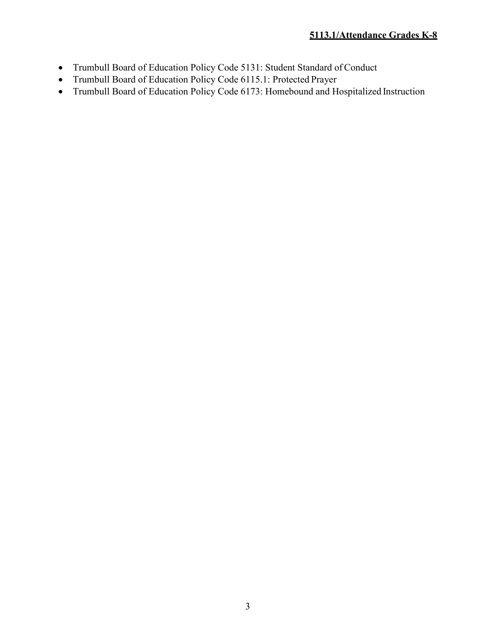- Trumbull Board of Education Policy Code 5131: Student Standard of Conduct
- Trumbull Board of Education Policy Code 6115.1: Protected Prayer
- Trumbull Board of Education Policy Code 6173: Homebound and Hospitalized Instruction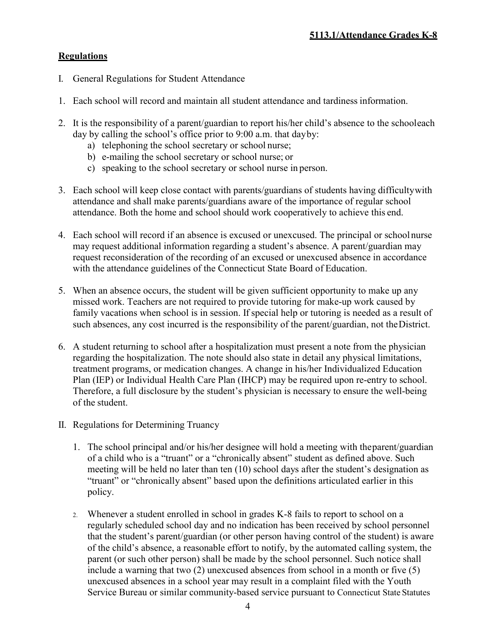## **Regulations**

- I. General Regulations for Student Attendance
- 1. Each school will record and maintain all student attendance and tardiness information.
- 2. It is the responsibility of a parent/guardian to report his/her child's absence to the schooleach day by calling the school's office prior to 9:00 a.m. that dayby:
	- a) telephoning the school secretary or school nurse;
	- b) e-mailing the school secretary or school nurse; or
	- c) speaking to the school secretary or school nurse in person.
- 3. Each school will keep close contact with parents/guardians of students having difficultywith attendance and shall make parents/guardians aware of the importance of regular school attendance. Both the home and school should work cooperatively to achieve this end.
- 4. Each school will record if an absence is excused or unexcused. The principal or schoolnurse may request additional information regarding a student's absence. A parent/guardian may request reconsideration of the recording of an excused or unexcused absence in accordance with the attendance guidelines of the Connecticut State Board of Education.
- 5. When an absence occurs, the student will be given sufficient opportunity to make up any missed work. Teachers are not required to provide tutoring for make-up work caused by family vacations when school is in session. If special help or tutoring is needed as a result of such absences, any cost incurred is the responsibility of the parent/guardian, not theDistrict.
- 6. A student returning to school after a hospitalization must present a note from the physician regarding the hospitalization. The note should also state in detail any physical limitations, treatment programs, or medication changes. A change in his/her Individualized Education Plan (IEP) or Individual Health Care Plan (IHCP) may be required upon re-entry to school. Therefore, a full disclosure by the student's physician is necessary to ensure the well-being of the student.
- II. Regulations for Determining Truancy
	- 1. The school principal and/or his/her designee will hold a meeting with theparent/guardian of a child who is a "truant" or a "chronically absent" student as defined above. Such meeting will be held no later than ten (10) school days after the student's designation as "truant" or "chronically absent" based upon the definitions articulated earlier in this policy.
	- 2. Whenever a student enrolled in school in grades K-8 fails to report to school on a regularly scheduled school day and no indication has been received by school personnel that the student's parent/guardian (or other person having control of the student) is aware of the child's absence, a reasonable effort to notify, by the automated calling system, the parent (or such other person) shall be made by the school personnel. Such notice shall include a warning that two (2) unexcused absences from school in a month or five (5) unexcused absences in a school year may result in a complaint filed with the Youth Service Bureau or similar community-based service pursuant to Connecticut State Statutes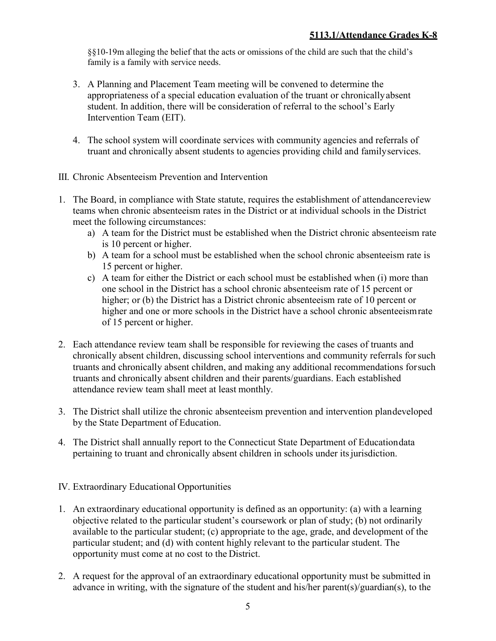§§10-19m alleging the belief that the acts or omissions of the child are such that the child's family is a family with service needs.

- 3. A Planning and Placement Team meeting will be convened to determine the appropriateness of a special education evaluation of the truant or chronicallyabsent student. In addition, there will be consideration of referral to the school's Early Intervention Team (EIT).
- 4. The school system will coordinate services with community agencies and referrals of truant and chronically absent students to agencies providing child and familyservices.
- III. Chronic Absenteeism Prevention and Intervention
- 1. The Board, in compliance with State statute, requires the establishment of attendancereview teams when chronic absenteeism rates in the District or at individual schools in the District meet the following circumstances:
	- a) A team for the District must be established when the District chronic absenteeism rate is 10 percent or higher.
	- b) A team for a school must be established when the school chronic absenteeism rate is 15 percent or higher.
	- c) A team for either the District or each school must be established when (i) more than one school in the District has a school chronic absenteeism rate of 15 percent or higher; or (b) the District has a District chronic absenteeism rate of 10 percent or higher and one or more schools in the District have a school chronic absenteeismrate of 15 percent or higher.
- 2. Each attendance review team shall be responsible for reviewing the cases of truants and chronically absent children, discussing school interventions and community referrals forsuch truants and chronically absent children, and making any additional recommendations forsuch truants and chronically absent children and their parents/guardians. Each established attendance review team shall meet at least monthly.
- 3. The District shall utilize the chronic absenteeism prevention and intervention plandeveloped by the State Department of Education.
- 4. The District shall annually report to the Connecticut State Department of Educationdata pertaining to truant and chronically absent children in schools under its jurisdiction.
- IV. Extraordinary Educational Opportunities
- 1. An extraordinary educational opportunity is defined as an opportunity: (a) with a learning objective related to the particular student's coursework or plan of study; (b) not ordinarily available to the particular student; (c) appropriate to the age, grade, and development of the particular student; and (d) with content highly relevant to the particular student. The opportunity must come at no cost to the District.
- 2. A request for the approval of an extraordinary educational opportunity must be submitted in advance in writing, with the signature of the student and his/her parent(s)/guardian(s), to the